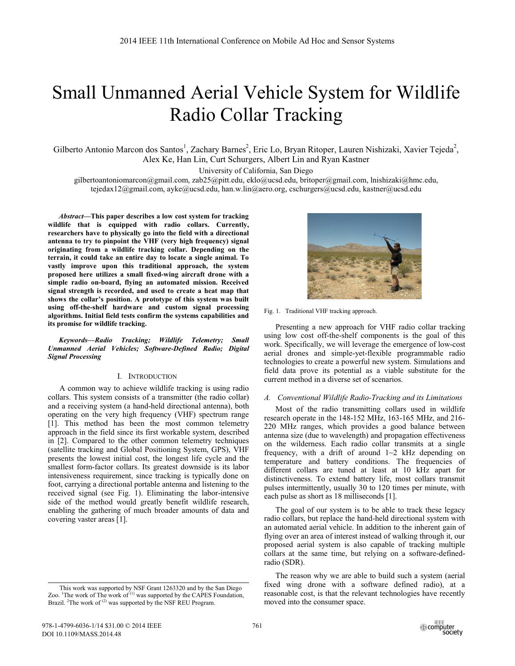# Small Unmanned Aerial Vehicle System for Wildlife Radio Collar Tracking

Gilberto Antonio Marcon dos Santos<sup>1</sup>, Zachary Barnes<sup>2</sup>, Eric Lo, Bryan Ritoper, Lauren Nishizaki, Xavier Tejeda<sup>2</sup>, Alex Ke, Han Lin, Curt Schurgers, Albert Lin and Ryan Kastner

University of California, San Diego

gilbertoantoniomarcon@gmail.com, zab25@pitt.edu, eklo@ucsd.edu, britoper@gmail.com, lnishizaki@hmc.edu, tejedax12@gmail.com, ayke@ucsd.edu, han.w.lin@aero.org, cschurgers@ucsd.edu, kastner@ucsd.edu

*Abstract***—This paper describes a low cost system for tracking wildlife that is equipped with radio collars. Currently, researchers have to physically go into the field with a directional antenna to try to pinpoint the VHF (very high frequency) signal originating from a wildlife tracking collar. Depending on the terrain, it could take an entire day to locate a single animal. To vastly improve upon this traditional approach, the system proposed here utilizes a small fixed-wing aircraft drone with a simple radio on-board, flying an automated mission. Received signal strength is recorded, and used to create a heat map that shows the collar's position. A prototype of this system was built using off-the-shelf hardware and custom signal processing algorithms. Initial field tests confirm the systems capabilities and its promise for wildlife tracking.** 

*Keywords—Radio Tracking; Wildlife Telemetry; Small Unmanned Aerial Vehicles; Software-Defined Radio; Digital Signal Processing* 

# I. INTRODUCTION

A common way to achieve wildlife tracking is using radio collars. This system consists of a transmitter (the radio collar) and a receiving system (a hand-held directional antenna), both operating on the very high frequency (VHF) spectrum range [1]. This method has been the most common telemetry approach in the field since its first workable system, described in [2]. Compared to the other common telemetry techniques (satellite tracking and Global Positioning System, GPS), VHF presents the lowest initial cost, the longest life cycle and the smallest form-factor collars. Its greatest downside is its labor intensiveness requirement, since tracking is typically done on foot, carrying a directional portable antenna and listening to the received signal (see Fig. 1). Eliminating the labor-intensive side of the method would greatly benefit wildlife research, enabling the gathering of much broader amounts of data and covering vaster areas [1].



Fig. 1. Traditional VHF tracking approach.

Presenting a new approach for VHF radio collar tracking using low cost off-the-shelf components is the goal of this work. Specifically, we will leverage the emergence of low-cost aerial drones and simple-yet-flexible programmable radio technologies to create a powerful new system. Simulations and field data prove its potential as a viable substitute for the current method in a diverse set of scenarios.

# *A. Conventional Wildlife Radio-Tracking and its Limitations*

Most of the radio transmitting collars used in wildlife research operate in the 148-152 MHz, 163-165 MHz, and 216- 220 MHz ranges, which provides a good balance between antenna size (due to wavelength) and propagation effectiveness on the wilderness. Each radio collar transmits at a single frequency, with a drift of around  $1~2$  kHz depending on temperature and battery conditions. The frequencies of different collars are tuned at least at 10 kHz apart for distinctiveness. To extend battery life, most collars transmit pulses intermittently, usually 30 to 120 times per minute, with each pulse as short as 18 milliseconds [1].

The goal of our system is to be able to track these legacy radio collars, but replace the hand-held directional system with an automated aerial vehicle. In addition to the inherent gain of flying over an area of interest instead of walking through it, our proposed aerial system is also capable of tracking multiple collars at the same time, but relying on a software-definedradio (SDR).

The reason why we are able to build such a system (aerial fixed wing drone with a software defined radio), at a reasonable cost, is that the relevant technologies have recently moved into the consumer space.

This work was supported by NSF Grant 1263320 and by the San Diego Zoo. <sup>1</sup>The work of The work of  $(1)$  was supported by the CAPES Foundation, Brazil. <sup>2</sup>The work of  $(2)$  was supported by the NSF REU Program.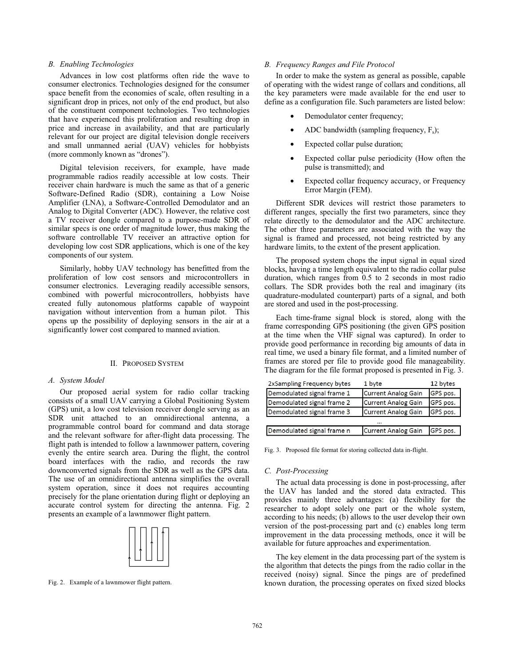# *B. Enabling Technologies*

Advances in low cost platforms often ride the wave to consumer electronics. Technologies designed for the consumer space benefit from the economies of scale, often resulting in a significant drop in prices, not only of the end product, but also of the constituent component technologies. Two technologies that have experienced this proliferation and resulting drop in price and increase in availability, and that are particularly relevant for our project are digital television dongle receivers and small unmanned aerial (UAV) vehicles for hobbyists (more commonly known as "drones").

Digital television receivers, for example, have made programmable radios readily accessible at low costs. Their receiver chain hardware is much the same as that of a generic Software-Defined Radio (SDR), containing a Low Noise Amplifier (LNA), a Software-Controlled Demodulator and an Analog to Digital Converter (ADC). However, the relative cost a TV receiver dongle compared to a purpose-made SDR of similar specs is one order of magnitude lower, thus making the software controllable TV receiver an attractive option for developing low cost SDR applications, which is one of the key components of our system.

Similarly, hobby UAV technology has benefitted from the proliferation of low cost sensors and microcontrollers in consumer electronics. Leveraging readily accessible sensors, combined with powerful microcontrollers, hobbyists have created fully autonomous platforms capable of waypoint navigation without intervention from a human pilot. This opens up the possibility of deploying sensors in the air at a significantly lower cost compared to manned aviation.

## II. PROPOSED SYSTEM

## *A. System Model*

Our proposed aerial system for radio collar tracking consists of a small UAV carrying a Global Positioning System (GPS) unit, a low cost television receiver dongle serving as an SDR unit attached to an omnidirectional antenna, a programmable control board for command and data storage and the relevant software for after-flight data processing. The flight path is intended to follow a lawnmower pattern, covering evenly the entire search area. During the flight, the control board interfaces with the radio, and records the raw downconverted signals from the SDR as well as the GPS data. The use of an omnidirectional antenna simplifies the overall system operation, since it does not requires accounting precisely for the plane orientation during flight or deploying an accurate control system for directing the antenna. Fig. 2 presents an example of a lawnmower flight pattern.

Fig. 2. Example of a lawnmower flight pattern.

# *B. Frequency Ranges and File Protocol*

In order to make the system as general as possible, capable of operating with the widest range of collars and conditions, all the key parameters were made available for the end user to define as a configuration file. Such parameters are listed below:

- Demodulator center frequency;
- ADC bandwidth (sampling frequency,  $F_s$ );
- Expected collar pulse duration;
- Expected collar pulse periodicity (How often the pulse is transmitted); and
- Expected collar frequency accuracy, or Frequency Error Margin (FEM).

Different SDR devices will restrict those parameters to different ranges, specially the first two parameters, since they relate directly to the demodulator and the ADC architecture. The other three parameters are associated with the way the signal is framed and processed, not being restricted by any hardware limits, to the extent of the present application.

The proposed system chops the input signal in equal sized blocks, having a time length equivalent to the radio collar pulse duration, which ranges from 0.5 to 2 seconds in most radio collars. The SDR provides both the real and imaginary (its quadrature-modulated counterpart) parts of a signal, and both are stored and used in the post-processing.

Each time-frame signal block is stored, along with the frame corresponding GPS positioning (the given GPS position at the time when the VHF signal was captured). In order to provide good performance in recording big amounts of data in real time, we used a binary file format, and a limited number of frames are stored per file to provide good file manageability. The diagram for the file format proposed is presented in Fig. 3.

| 2xSampling Frequency bytes | 1 byte                     | 12 bytes |
|----------------------------|----------------------------|----------|
| Demodulated signal frame 1 | <b>Current Analog Gain</b> | GPS pos. |
| Demodulated signal frame 2 | <b>Current Analog Gain</b> | GPS pos. |
| Demodulated signal frame 3 | <b>Current Analog Gain</b> | GPS pos. |
|                            |                            |          |
| Demodulated signal frame n | <b>Current Analog Gain</b> | GPS pos. |

Fig. 3. Proposed file format for storing collected data in-flight.

## *C. Post-Processing*

The actual data processing is done in post-processing, after the UAV has landed and the stored data extracted. This provides mainly three advantages: (a) flexibility for the researcher to adopt solely one part or the whole system, according to his needs; (b) allows to the user develop their own version of the post-processing part and (c) enables long term improvement in the data processing methods, once it will be available for future approaches and experimentation.

The key element in the data processing part of the system is the algorithm that detects the pings from the radio collar in the received (noisy) signal. Since the pings are of predefined known duration, the processing operates on fixed sized blocks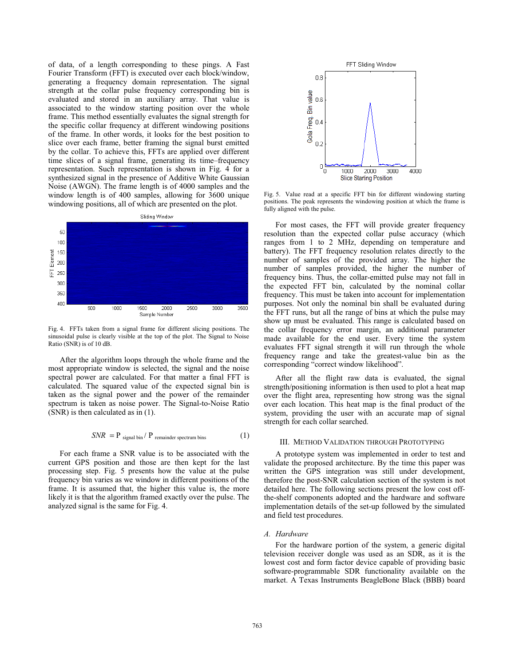of data, of a length corresponding to these pings. A Fast Fourier Transform (FFT) is executed over each block/window, generating a frequency domain representation. The signal strength at the collar pulse frequency corresponding bin is evaluated and stored in an auxiliary array. That value is associated to the window starting position over the whole frame. This method essentially evaluates the signal strength for the specific collar frequency at different windowing positions of the frame. In other words, it looks for the best position to slice over each frame, better framing the signal burst emitted by the collar. To achieve this, FFTs are applied over different time slices of a signal frame, generating its time–frequency representation. Such representation is shown in Fig. 4 for a synthesized signal in the presence of Additive White Gaussian Noise (AWGN). The frame length is of 4000 samples and the window length is of 400 samples, allowing for 3600 unique windowing positions, all of which are presented on the plot.



Fig. 4. FFTs taken from a signal frame for different slicing positions. The sinusoidal pulse is clearly visible at the top of the plot. The Signal to Noise Ratio (SNR) is of 10 dB.

After the algorithm loops through the whole frame and the most appropriate window is selected, the signal and the noise spectral power are calculated. For that matter a final FFT is calculated. The squared value of the expected signal bin is taken as the signal power and the power of the remainder spectrum is taken as noise power. The Signal-to-Noise Ratio (SNR) is then calculated as in (1).

$$
SNR = P_{signal bin} / P_{remainder spectrum bins}
$$
 (1)

For each frame a SNR value is to be associated with the current GPS position and those are then kept for the last processing step. Fig. 5 presents how the value at the pulse frequency bin varies as we window in different positions of the frame. It is assumed that, the higher this value is, the more likely it is that the algorithm framed exactly over the pulse. The analyzed signal is the same for Fig. 4.



Fig. 5. Value read at a specific FFT bin for different windowing starting positions. The peak represents the windowing position at which the frame is fully aligned with the pulse.

For most cases, the FFT will provide greater frequency resolution than the expected collar pulse accuracy (which ranges from 1 to 2 MHz, depending on temperature and battery). The FFT frequency resolution relates directly to the number of samples of the provided array. The higher the number of samples provided, the higher the number of frequency bins. Thus, the collar-emitted pulse may not fall in the expected FFT bin, calculated by the nominal collar frequency. This must be taken into account for implementation purposes. Not only the nominal bin shall be evaluated during the FFT runs, but all the range of bins at which the pulse may show up must be evaluated. This range is calculated based on the collar frequency error margin, an additional parameter made available for the end user. Every time the system evaluates FFT signal strength it will run through the whole frequency range and take the greatest-value bin as the corresponding "correct window likelihood".

After all the flight raw data is evaluated, the signal strength/positioning information is then used to plot a heat map over the flight area, representing how strong was the signal over each location. This heat map is the final product of the system, providing the user with an accurate map of signal strength for each collar searched.

## III. METHOD VALIDATION THROUGH PROTOTYPING

A prototype system was implemented in order to test and validate the proposed architecture. By the time this paper was written the GPS integration was still under development, therefore the post-SNR calculation section of the system is not detailed here. The following sections present the low cost offthe-shelf components adopted and the hardware and software implementation details of the set-up followed by the simulated and field test procedures.

#### *A. Hardware*

For the hardware portion of the system, a generic digital television receiver dongle was used as an SDR, as it is the lowest cost and form factor device capable of providing basic software-programmable SDR functionality available on the market. A Texas Instruments BeagleBone Black (BBB) board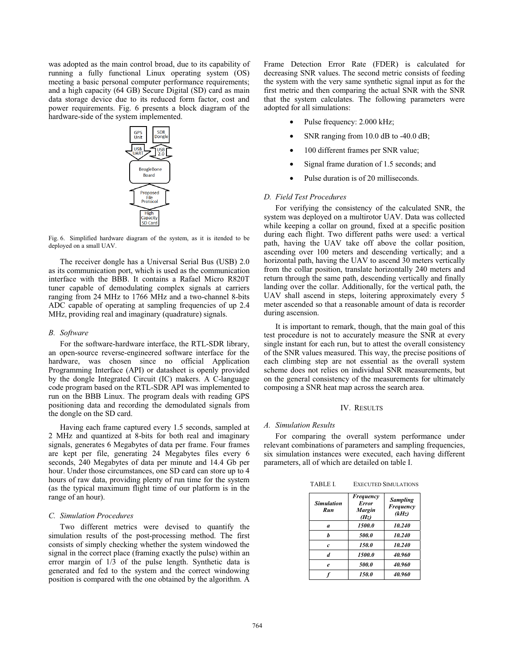was adopted as the main control broad, due to its capability of running a fully functional Linux operating system (OS) meeting a basic personal computer performance requirements; and a high capacity (64 GB) Secure Digital (SD) card as main data storage device due to its reduced form factor, cost and power requirements. Fig. 6 presents a block diagram of the hardware-side of the system implemented.



Fig. 6. Simplified hardware diagram of the system, as it is itended to be deployed on a small UAV.

The receiver dongle has a Universal Serial Bus (USB) 2.0 as its communication port, which is used as the communication interface with the BBB. It contains a Rafael Micro R820T tuner capable of demodulating complex signals at carriers ranging from 24 MHz to 1766 MHz and a two-channel 8-bits ADC capable of operating at sampling frequencies of up 2.4 MHz, providing real and imaginary (quadrature) signals.

# *B. Software*

For the software-hardware interface, the RTL-SDR library, an open-source reverse-engineered software interface for the hardware, was chosen since no official Application Programming Interface (API) or datasheet is openly provided by the dongle Integrated Circuit (IC) makers. A C-language code program based on the RTL-SDR API was implemented to run on the BBB Linux. The program deals with reading GPS positioning data and recording the demodulated signals from the dongle on the SD card.

Having each frame captured every 1.5 seconds, sampled at 2 MHz and quantized at 8-bits for both real and imaginary signals, generates 6 Megabytes of data per frame. Four frames are kept per file, generating 24 Megabytes files every 6 seconds, 240 Megabytes of data per minute and 14.4 Gb per hour. Under those circumstances, one SD card can store up to 4 hours of raw data, providing plenty of run time for the system (as the typical maximum flight time of our platform is in the range of an hour).

## *C. Simulation Procedures*

Two different metrics were devised to quantify the simulation results of the post-processing method. The first consists of simply checking whether the system windowed the signal in the correct place (framing exactly the pulse) within an error margin of  $1/\overline{3}$  of the pulse length. Synthetic data is generated and fed to the system and the correct windowing position is compared with the one obtained by the algorithm. A

Frame Detection Error Rate (FDER) is calculated for decreasing SNR values. The second metric consists of feeding the system with the very same synthetic signal input as for the first metric and then comparing the actual SNR with the SNR that the system calculates. The following parameters were adopted for all simulations:

- Pulse frequency: 2.000 kHz;
- SNR ranging from 10.0 dB to -40.0 dB;
- 100 different frames per SNR value;
- Signal frame duration of 1.5 seconds; and
- Pulse duration is of 20 milliseconds.

### *D. Field Test Procedures*

For verifying the consistency of the calculated SNR, the system was deployed on a multirotor UAV. Data was collected while keeping a collar on ground, fixed at a specific position during each flight. Two different paths were used: a vertical path, having the UAV take off above the collar position, ascending over 100 meters and descending vertically; and a horizontal path, having the UAV to ascend 30 meters vertically from the collar position, translate horizontally 240 meters and return through the same path, descending vertically and finally landing over the collar. Additionally, for the vertical path, the UAV shall ascend in steps, loitering approximately every 5 meter ascended so that a reasonable amount of data is recorder during ascension.

It is important to remark, though, that the main goal of this test procedure is not to accurately measure the SNR at every single instant for each run, but to attest the overall consistency of the SNR values measured. This way, the precise positions of each climbing step are not essential as the overall system scheme does not relies on individual SNR measurements, but on the general consistency of the measurements for ultimately composing a SNR heat map across the search area.

## IV. RESULTS

## *A. Simulation Results*

For comparing the overall system performance under relevant combinations of parameters and sampling frequencies, six simulation instances were executed, each having different parameters, all of which are detailed on table I.

TABLE I. EXECUTED SIMULATIONS

| Simulation<br>Run | Frequency<br>Error<br><b>Margin</b><br>(Hz) | <b>Sampling</b><br>Frequency<br>(kHz) |
|-------------------|---------------------------------------------|---------------------------------------|
| a                 | 1500.0                                      | 10.240                                |
| h                 | <i><b>500.0</b></i>                         | 10.240                                |
| c                 | 150.0                                       | 10.240                                |
| d                 | 1500.0                                      | 40.960                                |
| e                 | 500.0                                       | 40.960                                |
|                   | 150.0                                       | 40.960                                |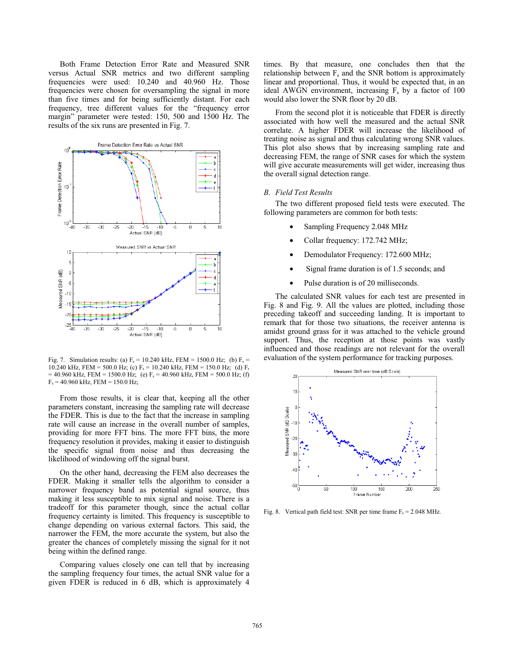Both Frame Detection Error Rate and Measured SNR versus Actual SNR metrics and two different sampling frequencies were used: 10.240 and 40.960 Hz. Those frequencies were chosen for oversampling the signal in more than five times and for being sufficiently distant. For each frequency, tree different values for the "frequency error margin" parameter were tested: 150, 500 and 1500 Hz. The results of the six runs are presented in Fig. 7.



Fig. 7. Simulation results: (a)  $F_s = 10.240 \text{ kHz}$ , FEM = 1500.0 Hz; (b)  $F_s =$ 10.240 kHz, FEM = 500.0 Hz; (c)  $F_s = 10.240$  kHz, FEM = 150.0 Hz; (d)  $F_s$  $= 40.960$  kHz, FEM = 1500.0 Hz; (e) F<sub>s</sub> = 40.960 kHz, FEM = 500.0 Hz; (f)  $F_s = 40.960$  kHz, FEM = 150.0 Hz;

From those results, it is clear that, keeping all the other parameters constant, increasing the sampling rate will decrease the FDER. This is due to the fact that the increase in sampling rate will cause an increase in the overall number of samples, providing for more FFT bins. The more FFT bins, the more frequency resolution it provides, making it easier to distinguish the specific signal from noise and thus decreasing the likelihood of windowing off the signal burst.

On the other hand, decreasing the FEM also decreases the FDER. Making it smaller tells the algorithm to consider a narrower frequency band as potential signal source, thus making it less susceptible to mix signal and noise. There is a tradeoff for this parameter though, since the actual collar frequency certainty is limited. This frequency is susceptible to change depending on various external factors. This said, the narrower the FEM, the more accurate the system, but also the greater the chances of completely missing the signal for it not being within the defined range.

Comparing values closely one can tell that by increasing the sampling frequency four times, the actual SNR value for a given FDER is reduced in 6 dB, which is approximately 4 times. By that measure, one concludes then that the relationship between  $F_s$  and the SNR bottom is approximately linear and proportional. Thus, it would be expected that, in an ideal AWGN environment, increasing  $F_s$  by a factor of 100 would also lower the SNR floor by 20 dB.

From the second plot it is noticeable that FDER is directly associated with how well the measured and the actual SNR correlate. A higher FDER will increase the likelihood of treating noise as signal and thus calculating wrong SNR values. This plot also shows that by increasing sampling rate and decreasing FEM, the range of SNR cases for which the system will give accurate measurements will get wider, increasing thus the overall signal detection range.

### *B. Field Test Results*

The two different proposed field tests were executed. The following parameters are common for both tests:

- Sampling Frequency 2.048 MHz
- Collar frequency: 172.742 MHz;
- Demodulator Frequency: 172.600 MHz;
- Signal frame duration is of 1.5 seconds; and
- Pulse duration is of 20 milliseconds.

The calculated SNR values for each test are presented in Fig. 8 and Fig. 9. All the values are plotted, including those preceding takeoff and succeeding landing. It is important to remark that for those two situations, the receiver antenna is amidst ground grass for it was attached to the vehicle ground support. Thus, the reception at those points was vastly influenced and those readings are not relevant for the overall evaluation of the system performance for tracking purposes.



Fig. 8. Vertical path field test: SNR per time frame  $F_s = 2.048 \text{ MHz.}$